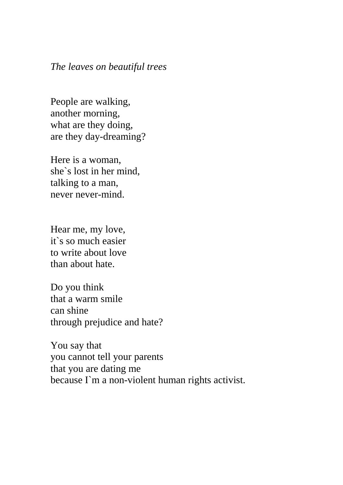## *The leaves on beautiful trees*

People are walking, another morning, what are they doing, are they day-dreaming?

Here is a woman, she`s lost in her mind, talking to a man, never never-mind.

Hear me, my love, it`s so much easier to write about love than about hate.

Do you think that a warm smile can shine through prejudice and hate?

You say that you cannot tell your parents that you are dating me because I`m a non-violent human rights activist.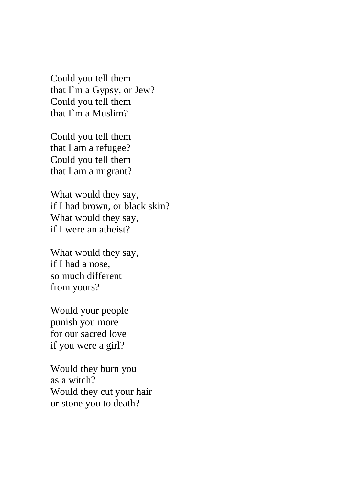Could you tell them that I`m a Gypsy, or Jew? Could you tell them that I`m a Muslim?

Could you tell them that I am a refugee? Could you tell them that I am a migrant?

What would they say, if I had brown, or black skin? What would they say, if I were an atheist?

What would they say, if I had a nose, so much different from yours?

Would your people punish you more for our sacred love if you were a girl?

Would they burn you as a witch? Would they cut your hair or stone you to death?